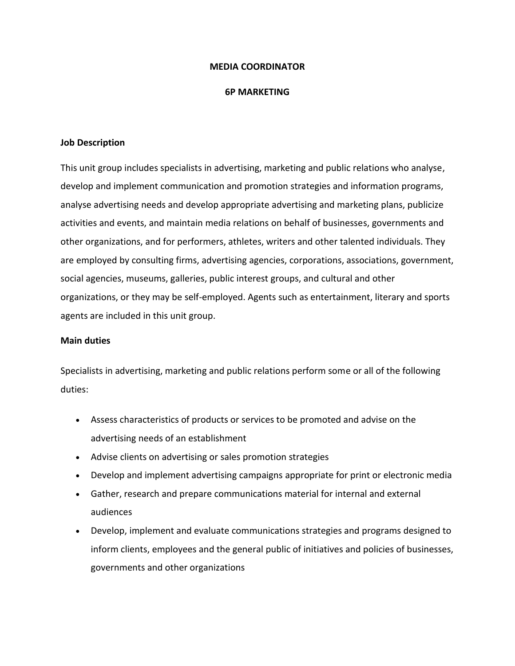## **MEDIA COORDINATOR**

#### **6P MARKETING**

## **Job Description**

This unit group includes specialists in advertising, marketing and public relations who analyse, develop and implement communication and promotion strategies and information programs, analyse advertising needs and develop appropriate advertising and marketing plans, publicize activities and events, and maintain media relations on behalf of businesses, governments and other organizations, and for performers, athletes, writers and other talented individuals. They are employed by consulting firms, advertising agencies, corporations, associations, government, social agencies, museums, galleries, public interest groups, and cultural and other organizations, or they may be self-employed. Agents such as entertainment, literary and sports agents are included in this unit group.

#### **Main duties**

Specialists in advertising, marketing and public relations perform some or all of the following duties:

- Assess characteristics of products or services to be promoted and advise on the advertising needs of an establishment
- Advise clients on advertising or sales promotion strategies
- Develop and implement advertising campaigns appropriate for print or electronic media
- Gather, research and prepare communications material for internal and external audiences
- Develop, implement and evaluate communications strategies and programs designed to inform clients, employees and the general public of initiatives and policies of businesses, governments and other organizations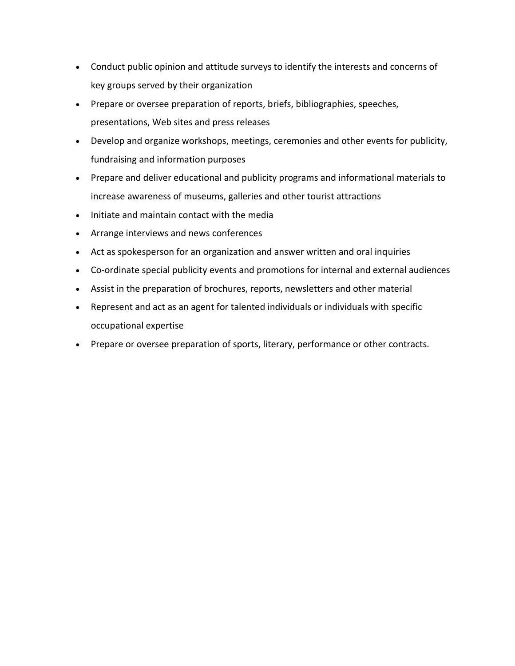- Conduct public opinion and attitude surveys to identify the interests and concerns of key groups served by their organization
- Prepare or oversee preparation of reports, briefs, bibliographies, speeches, presentations, Web sites and press releases
- Develop and organize workshops, meetings, ceremonies and other events for publicity, fundraising and information purposes
- Prepare and deliver educational and publicity programs and informational materials to increase awareness of museums, galleries and other tourist attractions
- Initiate and maintain contact with the media
- Arrange interviews and news conferences
- Act as spokesperson for an organization and answer written and oral inquiries
- Co-ordinate special publicity events and promotions for internal and external audiences
- Assist in the preparation of brochures, reports, newsletters and other material
- Represent and act as an agent for talented individuals or individuals with specific occupational expertise
- Prepare or oversee preparation of sports, literary, performance or other contracts.